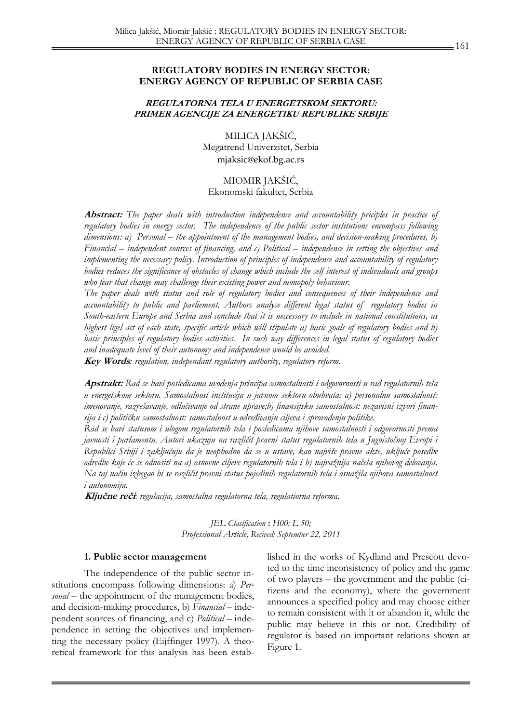### **REGULATORY BODIES IN ENERGY SECTOR: ENERGY AGENCY OF REPUBLIC OF SERBIA CASE**

### **REGULATORNA TELA U ENERGETSKOM SEKTORU: PRIMER AGENCIJE ZA ENERGETIKU REPUBLIKE SRBIJE**

MILICA JAKŠIĆ, Megatrend Univerzitet, Serbia mjaksic@ekof.bg.ac.rs

MIOMIR JAKŠIĆ, Ekonomski fakultet, Serbia

**Abstract:** *The paper deals with introduction independence and accountability priciples in practice of regulatory bodies in energy sector. The independence of the public sector institutions encompass following dimensions: a) Personal – the appointment of the management bodies, and decision-making procedures, b) Financial – independent sources of financing, and c) Political – independence in setting the objectives and implementing the necessary policy. Introduction of principles of independence and accountability of regulatory bodies reduces the significance of obstacles of change which include the self interest of indivuduals and groups who fear that change may challenge their existing power and monopoly behaviour.* 

 *The paper deals with status and role of regulatory bodies and consequences of their independence and accountability to public and parliement. Authors analyse different legal status of regulatory bodies in South-eastern Europe and Serbia and conclude that it is neccessary to include in national constitutions, as highest ligel act of each state, specific article which will stipulate a) basic goals of regulatory bodies and b) basic principles of regulatory bodies activities. In such way differences in legal status of regulatory bodies and inadequate level of their autonomy and independence would be avoided.* 

**Key Words***: regulation, independant regulatory authority, regulatory reform.* 

**Apstrakt:** *Rad se bavi posledicama uvođenja principa samostalnosti i odgovornosti u rad regulatornih tela u energetskom sektoru. Samostalnost institucija u javnom sektoru obuhvata: a) personalnu samostalnost: imenovanje, razrešavanje, odlučivanje od strane uprave;b) finansijsku samostalnost: nezavisni izvori finansija i c) političku samostalnost: samostalnost u određivanju ciljeva i sprovođenju politike.* 

*Rad se bavi statusom i ulogom regulatornih tela i posledicama njihove samostalnosti i odgovornosti prema javnosti i parlamentu. Autori ukazuju na različit pravni status regulatornih tela u Jugoistočnoj Evropi i Republici Srbiji i zaključuju da je neophodno da se u ustave, kao najviše pravne akte, uključe posedbe odredbe koje će se odnositi na a) osnovne ciljeve regulatornih tela i b) najvažnija načela njihovog delovanja. Na taj način izbegao bi se različit pravni status pojedinih regulatornih tela i osnažila njihova samostalnost i autonomija.* 

**Ključne reč<sup>i</sup>**: *regulacija, samostalna regulatorna tela, regulatiorna reforma.* 

## *JEL Clasification* **:** *H00; L 50; Professional Article, Recived: September 22, 2011*

#### **1. Public sector management**

 The independence of the public sector institutions encompass following dimensions: a) *Personal* – the appointment of the management bodies, and decision-making procedures, b) *Financial* – independent sources of financing, and c) *Political* – independence in setting the objectives and implementing the necessary policy (Eijffinger 1997). A theoretical framework for this analysis has been established in the works of Kydland and Prescott devoted to the time inconsistency of policy and the game of two players – the government and the public (citizens and the economy), where the government announces a specified policy and may choose either to remain consistent with it or abandon it, while the public may believe in this or not. Credibility of regulator is based on important relations shown at Figure 1.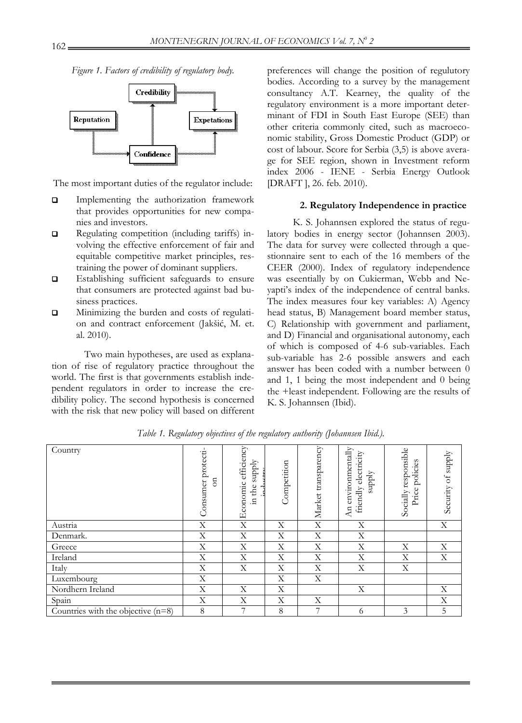*Figure 1. Factors of credibility of regulatory body.* 



The most important duties of the regulator include:

- **Implementing the authorization framework** that provides opportunities for new companies and investors.
- Regulating competition (including tariffs) involving the effective enforcement of fair and equitable competitive market principles, restraining the power of dominant suppliers.
- Establishing sufficient safeguards to ensure that consumers are protected against bad business practices.
- **I** Minimizing the burden and costs of regulation and contract enforcement (Jakšić, M. et. al. 2010).

Two main hypotheses, are used as explanation of rise of regulatory practice throughout the world. The first is that governments establish independent regulators in order to increase the credibility policy. The second hypothesis is concerned with the risk that new policy will based on different

preferences will change the position of regulutory bodies. According to a survey by the management consultancy A.T. Kearney, the quality of the regulatory environment is a more important determinant of FDI in South East Europe (SEE) than other criteria commonly cited, such as macroeconomic stability, Gross Domestic Product (GDP) or cost of labour. Score for Serbia (3,5) is above average for SEE region, shown in Investment reform index 2006 - IENE - Serbia Energy Outlook [DRAFT ], 26. feb. 2010).

#### **2. Regulatory Independence in practice**

K. S. Johannsen explored the status of regulatory bodies in energy sector (Johannsen 2003). The data for survey were collected through a questionnaire sent to each of the 16 members of the CEER (2000). Index of regulatory independence was eseentially by on Cukierman, Webb and Neyapti's index of the independence of central banks. The index measures four key variables: A) Agency head status, B) Management board member status, C) Relationship with government and parliament, and D) Financial and organisational autonomy, each of which is composed of 4-6 sub-variables. Each sub-variable has 2-6 possible answers and each answer has been coded with a number between 0 and 1, 1 being the most independent and 0 being the +least independent. Following are the results of K. S. Johannsen (Ibid).

| Country                              | Consumer protecti-<br>ទ | efficiency<br>supply<br>Economic<br>in the | Competition | Market transparency | An environmentally<br>friendly electricity<br>supply | Socially responsible<br>policies<br>Price | Security of supply |
|--------------------------------------|-------------------------|--------------------------------------------|-------------|---------------------|------------------------------------------------------|-------------------------------------------|--------------------|
| Austria                              | X                       | X                                          | X           | X                   | X                                                    |                                           | X                  |
| Denmark.                             | X                       | X                                          | X           | X                   | X                                                    |                                           |                    |
| Greece                               | X                       | X                                          | X           | X                   | X                                                    | Χ                                         | X                  |
| Ireland                              | X                       | X                                          | X           | $\mathbf X$         | X                                                    | X                                         | X                  |
| Italy                                | X                       | X                                          | X           | X                   | X                                                    | X                                         |                    |
| Luxembourg                           | $\mathbf X$             |                                            | X           | X                   |                                                      |                                           |                    |
| Nordhern Ireland                     | X                       | X                                          | X           |                     | X                                                    |                                           | X                  |
| Spain                                | X                       | X                                          | X           | X                   |                                                      |                                           | X                  |
| Countries with the objective $(n=8)$ | 8                       | 7                                          | 8           | $\overline{7}$      | 6                                                    | 3                                         | 5                  |

*Table 1. Regulatory objectives of the regulatory authority (Johannsen Ibid.).*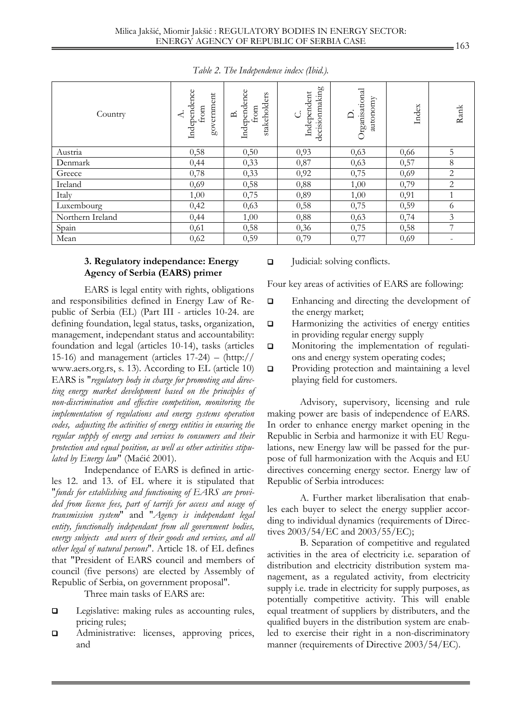| Country          | Independence<br>government<br>from<br>≺ | Independence<br>stakeholders<br>from<br>B. | decisionmaking<br>Independent<br>ن | Organisational<br>autonomy<br>$\Box$ | Index | Rank           |
|------------------|-----------------------------------------|--------------------------------------------|------------------------------------|--------------------------------------|-------|----------------|
| Austria          | 0,58                                    | 0,50                                       | 0,93                               | 0,63                                 | 0,66  | 5              |
| Denmark          | 0,44                                    | 0,33                                       | 0,87                               | 0,63                                 | 0,57  | 8              |
| Greece           | 0,78                                    | 0,33                                       | 0,92                               | 0,75                                 | 0,69  | $\overline{2}$ |
| Ireland          | 0,69                                    | 0,58                                       | 0,88                               | 1,00                                 | 0,79  | 2              |
| Italy            | 1,00                                    | 0,75                                       | 0,89                               | 1,00                                 | 0,91  | $\mathbf{1}$   |
| Luxembourg       | 0,42                                    | 0,63                                       | 0,58                               | 0,75                                 | 0,59  | 6              |
| Northern Ireland | 0,44                                    | 1,00                                       | 0,88                               | 0,63                                 | 0,74  | 3              |
| Spain            | 0,61                                    | 0,58                                       | 0,36                               | 0,75                                 | 0,58  | 7              |
| Mean             | 0,62                                    | 0,59                                       | 0,79                               | 0,77                                 | 0,69  |                |

*Table 2. The Independence index (Ibid.).* 

### **3. Regulatory independance: Energy Agency of Serbia (EARS) primer**

 EARS is legal entity with rights, obligations and responsibilities defined in Energy Law of Republic of Serbia (EL) (Part III - articles 10-24. are defining foundation, legal status, tasks, organization, management, independant status and accountability: foundation and legal (articles 10-14), tasks (articles 15-16) and management (articles  $17-24$ ) – (http:// www.aers.org.rs, s. 13). According to EL (article 10) EARS is "*regulatory body in charge for promoting and directing energy market development based on the principles of non-discrimination and effective competition, monitoring the implementation of regulations and energy systems operation codes, adjusting the activities of energy entities in ensuring the regular supply of energy and services to consumers and their protection and equal position, as well as other activities stipulated by Energy law*" (Maćić 2001).

 Independance of EARS is defined in articles 12. and 13. of EL where it is stipulated that "*funds for establishing and functioning of EARS are provided from licence fees, part of tarrifs for access and usage of transmission system*" and "*Agency is independant legal entity, functionally independant from all government bodies, energy subjects and users of their goods and services, and all other legal of natural persons*". Article 18. of EL defines that "President of EARS council and members of council (five persons) are elected by Assembly of Republic of Serbia, on government proposal".

Three main tasks of EARS are:

- D Legislative: making rules as accounting rules, pricing rules;
- $\Box$  Administrative: licenses, approving prices, and

□ Judicial: solving conflicts.

Four key areas of activities of EARS are following:

- Enhancing and directing the development of the energy market;
- $\Box$  Harmonizing the activities of energy entities in providing regular energy supply
- **Q** Monitoring the implementation of regulations and energy system operating codes;
- **Q** Providing protection and maintaining a level playing field for customers.

Advisory, supervisory, licensing and rule making power are basis of independence of EARS. In order to enhance energy market opening in the Republic in Serbia and harmonize it with EU Regulations, new Energy law will be passed for the purpose of full harmonization with the Acquis and EU directives concerning energy sector. Energy law of Republic of Serbia introduces:

A. Further market liberalisation that enables each buyer to select the energy supplier according to individual dynamics (requirements of Directives 2003/54/EC and 2003/55/ЕC);

 B. Separation of competitive and regulated activities in the area of electricity i.e. separation of distribution and electricity distribution system management, as a regulated activity, from electricity supply i.e. trade in electricity for supply purposes, as potentially competitive activity. This will enable equal treatment of suppliers by distributers, and the qualified buyers in the distribution system are enabled to exercise their right in a non-discriminatory manner (requirements of Directive 2003/54/EC).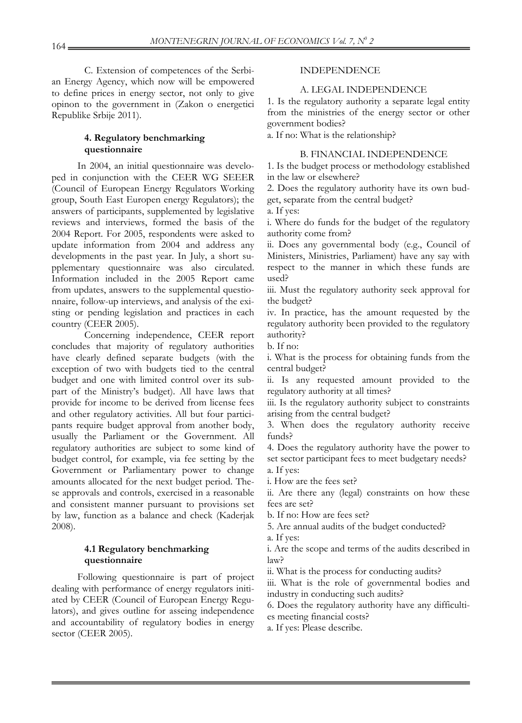C. Extension of competences of the Serbian Energy Agency, which now will be empowered to define prices in energy sector, not only to give opinon to the government in (Zakon o energetici Republike Srbije 2011).

## **4. Regulatory benchmarking questionnaire**

In 2004, an initial questionnaire was developed in conjunction with the CEER WG SEEER (Council of European Energy Regulators Working group, South East Europen energy Regulators); the answers of participants, supplemented by legislative reviews and interviews, formed the basis of the 2004 Report. For 2005, respondents were asked to update information from 2004 and address any developments in the past year. In July, a short supplementary questionnaire was also circulated. Information included in the 2005 Report came from updates, answers to the supplemental questionnaire, follow-up interviews, and analysis of the existing or pending legislation and practices in each country (CEER 2005).

Concerning independence, CEER report concludes that majority of regulatory authorities have clearly defined separate budgets (with the exception of two with budgets tied to the central budget and one with limited control over its subpart of the Ministry's budget). All have laws that provide for income to be derived from license fees and other regulatory activities. All but four participants require budget approval from another body, usually the Parliament or the Government. All regulatory authorities are subject to some kind of budget control, for example, via fee setting by the Government or Parliamentary power to change amounts allocated for the next budget period. These approvals and controls, exercised in a reasonable and consistent manner pursuant to provisions set by law, function as a balance and check (Kaderjak 2008).

### **4.1 Regulatory benchmarking questionnaire**

Following questionnaire is part of project dealing with performance of energy regulators initiated by CEER (Council of European Energy Regulators), and gives outline for asseing independence and accountability of regulatory bodies in energy sector (CEER 2005).

## INDEPENDENCE

#### A. LEGAL INDEPENDENCE

1. Is the regulatory authority a separate legal entity from the ministries of the energy sector or other government bodies?

a. If no: What is the relationship?

### B. FINANCIAL INDEPENDENCE

1. Is the budget process or methodology established in the law or elsewhere?

2. Does the regulatory authority have its own budget, separate from the central budget?

a. If yes:

i. Where do funds for the budget of the regulatory authority come from?

ii. Does any governmental body (e.g., Council of Ministers, Ministries, Parliament) have any say with respect to the manner in which these funds are used?

iii. Must the regulatory authority seek approval for the budget?

iv. In practice, has the amount requested by the regulatory authority been provided to the regulatory authority?

b. If no:

i. What is the process for obtaining funds from the central budget?

ii. Is any requested amount provided to the regulatory authority at all times?

iii. Is the regulatory authority subject to constraints arising from the central budget?

3. When does the regulatory authority receive funds?

4. Does the regulatory authority have the power to set sector participant fees to meet budgetary needs? a. If yes:

i. How are the fees set?

ii. Are there any (legal) constraints on how these fees are set?

b. If no: How are fees set?

5. Are annual audits of the budget conducted?

a. If yes:

i. Are the scope and terms of the audits described in law?

ii. What is the process for conducting audits?

iii. What is the role of governmental bodies and industry in conducting such audits?

6. Does the regulatory authority have any difficulties meeting financial costs?

a. If yes: Please describe.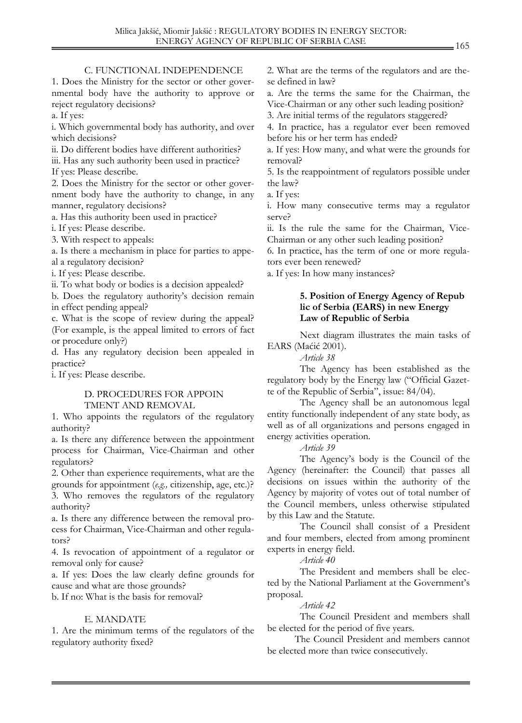### C. FUNCTIONAL INDEPENDENCE

1. Does the Ministry for the sector or other governmental body have the authority to approve or reject regulatory decisions?

a. If yes:

i. Which governmental body has authority, and over which decisions?

ii. Do different bodies have different authorities?

iii. Has any such authority been used in practice?

If yes: Please describe.

2. Does the Ministry for the sector or other government body have the authority to change, in any manner, regulatory decisions?

a. Has this authority been used in practice?

i. If yes: Please describe.

3. With respect to appeals:

a. Is there a mechanism in place for parties to appeal a regulatory decision?

i. If yes: Please describe.

ii. To what body or bodies is a decision appealed?

b. Does the regulatory authority's decision remain in effect pending appeal?

c. What is the scope of review during the appeal? (For example, is the appeal limited to errors of fact or procedure only?)

d. Has any regulatory decision been appealed in practice?

i. If yes: Please describe.

#### D. PROCEDURES FOR APPOIN TMENT AND REMOVAL

1. Who appoints the regulators of the regulatory authority?

a. Is there any difference between the appointment process for Chairman, Vice-Chairman and other regulators?

2. Other than experience requirements, what are the grounds for appointment (*e.g.,* citizenship, age, etc.)? 3. Who removes the regulators of the regulatory authority?

a. Is there any difference between the removal process for Chairman, Vice-Chairman and other regulators?

4. Is revocation of appointment of a regulator or removal only for cause?

a. If yes: Does the law clearly define grounds for cause and what are those grounds?

b. If no: What is the basis for removal?

# E. MANDATE

1. Are the minimum terms of the regulators of the regulatory authority fixed?

2. What are the terms of the regulators and are these defined in law?

a. Are the terms the same for the Chairman, the Vice-Chairman or any other such leading position?

3. Are initial terms of the regulators staggered?

4. In practice, has a regulator ever been removed before his or her term has ended?

a. If yes: How many, and what were the grounds for removal?

5. Is the reappointment of regulators possible under the law?

a. If yes:

i. How many consecutive terms may a regulator serve?

ii. Is the rule the same for the Chairman, Vice-Chairman or any other such leading position?

6. In practice, has the term of one or more regulators ever been renewed?

a. If yes: In how many instances?

## **5. Position of Energy Agency of Repub lic of Serbia (EARS) in new Energy Law of Republic of Serbia**

Next diagram illustrates the main tasks of EARS (Maćić 2001).

*Article 38* 

The Agency has been established as the regulatory body by the Energy law ("Official Gazette of the Republic of Serbia", issue: 84/04).

The Agency shall be an autonomous legal entity functionally independent of any state body, as well as of all organizations and persons engaged in energy activities operation.

*Article 39* 

The Agency's body is the Council of the Agency (hereinafter: the Council) that passes all decisions on issues within the authority of the Agency by majority of votes out of total number of the Council members, unless otherwise stipulated by this Law and the Statute.

The Council shall consist of a President and four members, elected from among prominent experts in energy field.

*Article 40* 

 The President and members shall be elected by the National Parliament at the Government's proposal.

*Article 42* 

The Council President and members shall be elected for the period of five years.

 The Council President and members cannot be elected more than twice consecutively.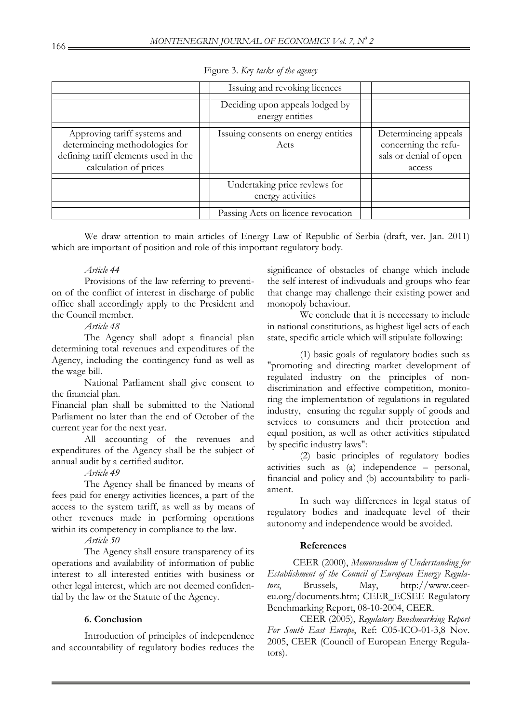|                                                                                                                                 | Issuing and revoking licences                                                            |                                                                                  |
|---------------------------------------------------------------------------------------------------------------------------------|------------------------------------------------------------------------------------------|----------------------------------------------------------------------------------|
|                                                                                                                                 | Deciding upon appeals lodged by<br>energy entities                                       |                                                                                  |
| Approving tariff systems and<br>determineing methodologies for<br>defining tariff elements used in the<br>calculation of prices | Issuing consents on energy entities<br>Acts                                              | Determineing appeals<br>concerning the refu-<br>sals or denial of open<br>access |
|                                                                                                                                 | Undertaking price revlews for<br>energy activities<br>Passing Acts on licence revocation |                                                                                  |

Figure 3. *Ke*y *tasks of the agency* 

 We draw attention to main articles of Energy Law of Republic of Serbia (draft, ver. Jan. 2011) which are important of position and role of this important regulatory body.

# *Article 44*

 Provisions of the law referring to prevention of the conflict of interest in discharge of public office shall accordingly apply to the President and the Council member.

*Article 48* 

 The Agency shall adopt a financial plan determining total revenues and expenditures of the Agency, including the contingency fund as well as the wage bill.

 National Parliament shall give consent to the financial plan.

Financial plan shall be submitted to the National Parliament no later than the end of October of the current year for the next year.

 All accounting of the revenues and expenditures of the Agency shall be the subject of annual audit by a certified auditor.

# *Article 49*

 The Agency shall be financed by means of fees paid for energy activities licences, a part of the access to the system tariff, as well as by means of other revenues made in performing operations within its competency in compliance to the law.

*Article 50* 

The Agency shall ensure transparency of its operations and availability of information of public interest to all interested entities with business or other legal interest, which are not deemed confidential by the law or the Statute of the Agency.

# **6. Conclusion**

 Introduction of principles of independence and accountability of regulatory bodies reduces the significance of obstacles of change which include the self interest of indivuduals and groups who fear that change may challenge their existing power and monopoly behaviour.

 We conclude that it is neccessary to include in national constitutions, as highest ligel acts of each state, specific article which will stipulate following:

(1) basic goals of regulatory bodies such as "promoting and directing market development of regulated industry on the principles of nondiscrimination and effective competition, monitoring the implementation of regulations in regulated industry, ensuring the regular supply of goods and services to consumers and their protection and equal position, as well as other activities stipulated by specific industry laws":

(2) basic principles of regulatory bodies activities such as (a) independence – personal, financial and policy and (b) accountability to parliament.

In such way differences in legal status of regulatory bodies and inadequate level of their autonomy and independence would be avoided.

# **References**

CEER (2000), *Memorandum of Understanding for Establishment of the Council of European Energy Regulators*, Brussels, May, http://www.ceereu.org/documents.htm; CEER\_ECSEE Regulatory Benchmarking Report, 08-10-2004, CEER.

CEER (2005), *Regulatory Benchmarking Report For South East Europe*, Ref: C05-ICO-01-3,8 Nov. 2005, CEER (Council of European Energy Regulators).